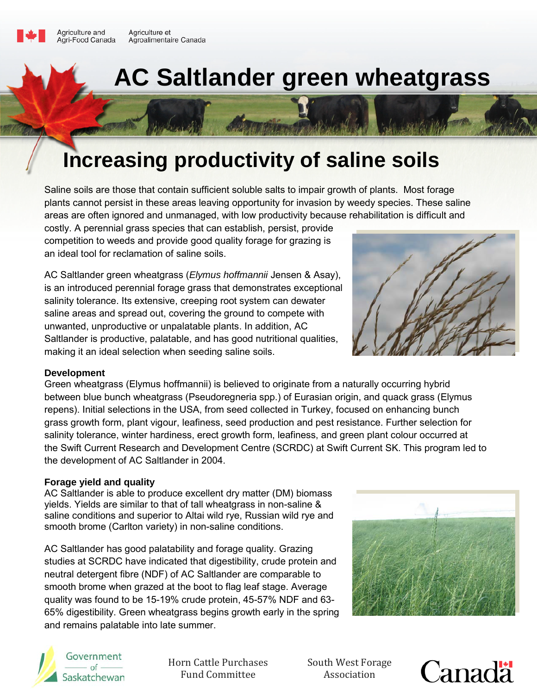

# **Increasing productivity of saline soils**

Saline soils are those that contain sufficient soluble salts to impair growth of plants. Most forage plants cannot persist in these areas leaving opportunity for invasion by weedy species. These saline areas are often ignored and unmanaged, with low productivity because rehabilitation is difficult and

costly. A perennial grass species that can establish, persist, provide competition to weeds and provide good quality forage for grazing is an ideal tool for reclamation of saline soils.

AC Saltlander green wheatgrass (*Elymus hoffmannii* Jensen & Asay), is an introduced perennial forage grass that demonstrates exceptional salinity tolerance. Its extensive, creeping root system can dewater saline areas and spread out, covering the ground to compete with unwanted, unproductive or unpalatable plants. In addition, AC Saltlander is productive, palatable, and has good nutritional qualities, making it an ideal selection when seeding saline soils.

#### **Development**

Green wheatgrass (Elymus hoffmannii) is believed to originate from a naturally occurring hybrid between blue bunch wheatgrass (Pseudoregneria spp.) of Eurasian origin, and quack grass (Elymus repens). Initial selections in the USA, from seed collected in Turkey, focused on enhancing bunch grass growth form, plant vigour, leafiness, seed production and pest resistance. Further selection for salinity tolerance, winter hardiness, erect growth form, leafiness, and green plant colour occurred at the Swift Current Research and Development Centre (SCRDC) at Swift Current SK. This program led to the development of AC Saltlander in 2004.

#### **Forage yield and quality**

AC Saltlander is able to produce excellent dry matter (DM) biomass yields. Yields are similar to that of tall wheatgrass in non-saline & saline conditions and superior to Altai wild rye, Russian wild rye and smooth brome (Carlton variety) in non-saline conditions.

AC Saltlander has good palatability and forage quality. Grazing studies at SCRDC have indicated that digestibility, crude protein and neutral detergent fibre (NDF) of AC Saltlander are comparable to smooth brome when grazed at the boot to flag leaf stage. Average quality was found to be 15-19% crude protein, 45-57% NDF and 63- 65% digestibility. Green wheatgrass begins growth early in the spring and remains palatable into late summer.



Horn Cattle Purchases Fund Committee

South West Forage Association